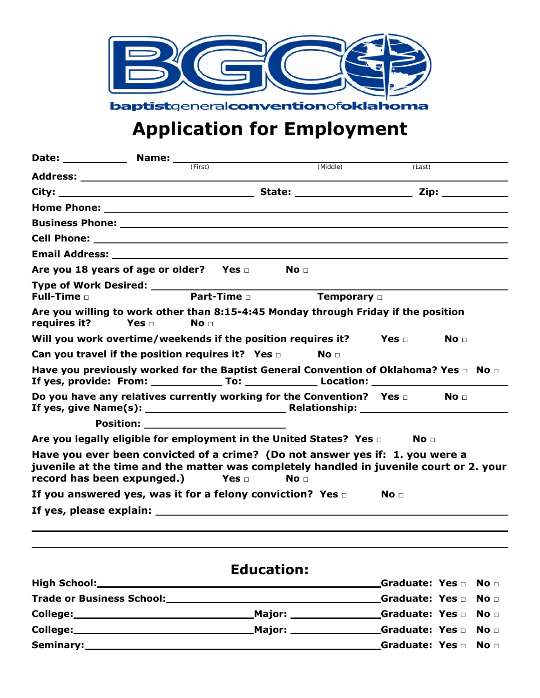

# **Application for Employment**

|                                                                                                                                                                                                        |                                            | (First)         |               |                    |                 |                 |
|--------------------------------------------------------------------------------------------------------------------------------------------------------------------------------------------------------|--------------------------------------------|-----------------|---------------|--------------------|-----------------|-----------------|
|                                                                                                                                                                                                        |                                            |                 |               | (Middle)           | (Last)          |                 |
|                                                                                                                                                                                                        |                                            |                 |               |                    |                 |                 |
|                                                                                                                                                                                                        |                                            |                 |               |                    |                 |                 |
|                                                                                                                                                                                                        |                                            |                 |               |                    |                 |                 |
|                                                                                                                                                                                                        |                                            |                 |               |                    |                 |                 |
|                                                                                                                                                                                                        |                                            |                 |               |                    |                 |                 |
| Are you 18 years of age or older? Yes $\square$                                                                                                                                                        |                                            |                 |               | No <sub>1</sub>    |                 |                 |
| Full-Time $\Box$                                                                                                                                                                                       |                                            | Part-Time       |               | Temporary <b>D</b> |                 |                 |
| Are you willing to work other than 8:15-4:45 Monday through Friday if the position<br>requires it?                                                                                                     | Yes $\sqcap$                               | No <sub>1</sub> |               |                    |                 |                 |
| Will you work overtime/weekends if the position requires it?                                                                                                                                           |                                            |                 |               |                    | Yes $\sqcap$    | No <sub>1</sub> |
| Can you travel if the position requires it? Yes $\square$                                                                                                                                              |                                            |                 |               | No <sub>1</sub>    |                 |                 |
| Have you previously worked for the Baptist General Convention of Oklahoma? Yes $\Box$ No $\Box$                                                                                                        |                                            |                 |               |                    |                 |                 |
| Do you have any relatives currently working for the Convention? Yes $\Box$                                                                                                                             |                                            |                 |               |                    |                 | No <del>⊓</del> |
|                                                                                                                                                                                                        | <b>Position:</b> _________________________ |                 |               |                    |                 |                 |
| Are you legally eligible for employment in the United States? Yes $\square$                                                                                                                            |                                            |                 |               |                    | No <sub>1</sub> |                 |
| Have you ever been convicted of a crime? (Do not answer yes if: 1. you were a<br>juvenile at the time and the matter was completely handled in juvenile court or 2. your<br>record has been expunged.) |                                            |                 | Yes $\square$ | No <sub>1</sub>    |                 |                 |
| If you answered yes, was it for a felony conviction? Yes $\square$                                                                                                                                     |                                            |                 |               |                    | No <sub>1</sub> |                 |
|                                                                                                                                                                                                        |                                            |                 |               |                    |                 |                 |
|                                                                                                                                                                                                        |                                            |                 |               |                    |                 |                 |
|                                                                                                                                                                                                        |                                            |                 |               |                    |                 |                 |

# **High School: Graduate: Yes □ No □ Trade or Business School: Graduate: Yes □ No □ College: Major: Graduate: Yes □ No □ College: Major: Graduate: Yes □ No □ Seminary: Graduate: Yes □ No □**

## **Education:**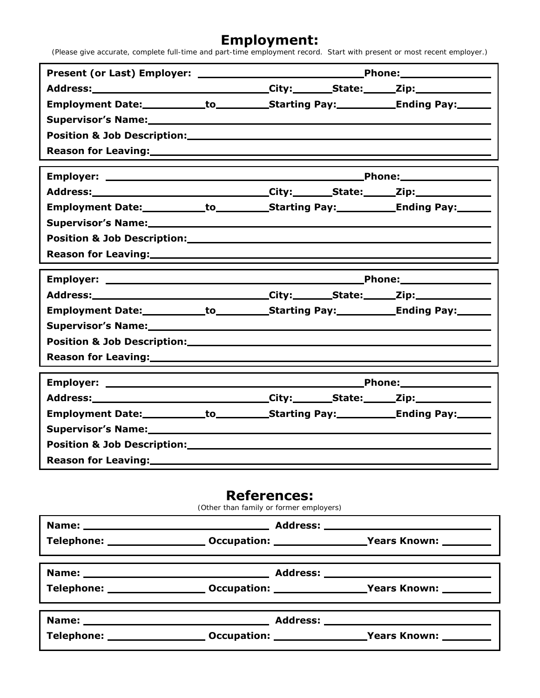#### **Employment:**

(Please give accurate, complete full-time and part-time employment record. Start with present or most recent employer.)

| Employment Date:____________to______________Starting Pay:________________________      |  |  |  |  |
|----------------------------------------------------------------------------------------|--|--|--|--|
| Supervisor's Name:<br>Supervisor's Name:                                               |  |  |  |  |
|                                                                                        |  |  |  |  |
|                                                                                        |  |  |  |  |
|                                                                                        |  |  |  |  |
|                                                                                        |  |  |  |  |
| Employment Date:____________to___________Starting Pay:____________Ending Pay:_______   |  |  |  |  |
|                                                                                        |  |  |  |  |
|                                                                                        |  |  |  |  |
|                                                                                        |  |  |  |  |
|                                                                                        |  |  |  |  |
|                                                                                        |  |  |  |  |
|                                                                                        |  |  |  |  |
|                                                                                        |  |  |  |  |
| Employment Date:___________to____________Starting Pay:_____________Ending Pay:_______  |  |  |  |  |
|                                                                                        |  |  |  |  |
|                                                                                        |  |  |  |  |
|                                                                                        |  |  |  |  |
|                                                                                        |  |  |  |  |
| Address:_________________________________City:________State:______Zip:__________       |  |  |  |  |
| Employment Date:____________to____________Starting Pay:_____________Ending Pay:_______ |  |  |  |  |
|                                                                                        |  |  |  |  |
|                                                                                        |  |  |  |  |

## **References:**

(Other than family or former employers)

| Telephone: ________________________Occupation: _______________________Years Known: ________________ |  |  |
|-----------------------------------------------------------------------------------------------------|--|--|
|                                                                                                     |  |  |
| Telephone: ________________________ Occupation: _________________________________                   |  |  |
|                                                                                                     |  |  |
| Telephone: _______________________Occupation: ________________________Years Known: ___________      |  |  |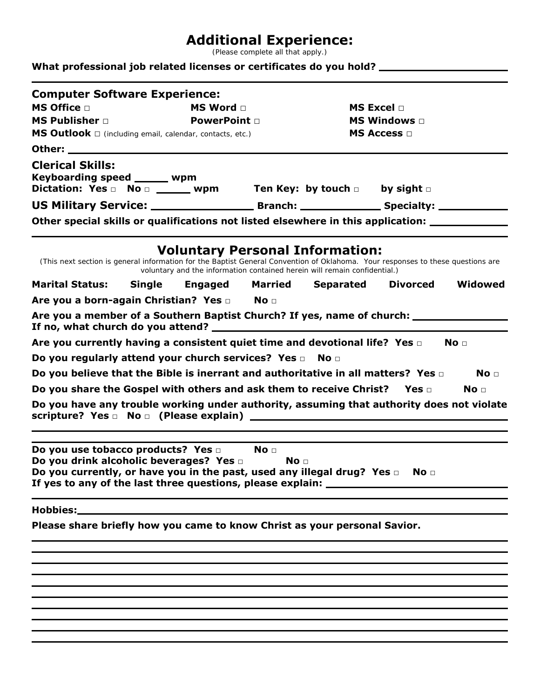## **Additional Experience:**

(Please complete all that apply.)

#### **What professional job related licenses or certificates do you hold?**

| <b>Computer Software Experience:</b><br><b>MS Office</b> D<br>MS Word D                                                                                                                                                                                             |  |                   |                                  | <b>MS Excel</b> D                                                         |                   |                 |
|---------------------------------------------------------------------------------------------------------------------------------------------------------------------------------------------------------------------------------------------------------------------|--|-------------------|----------------------------------|---------------------------------------------------------------------------|-------------------|-----------------|
| <b>MS Publisher</b> $\Box$                                                                                                                                                                                                                                          |  | <b>PowerPoint</b> |                                  |                                                                           | MS Windows $\Box$ |                 |
| MS Outlook $\square$ (including email, calendar, contacts, etc.)                                                                                                                                                                                                    |  |                   |                                  |                                                                           | <b>MS Access</b>  |                 |
|                                                                                                                                                                                                                                                                     |  |                   |                                  |                                                                           |                   |                 |
| <b>Clerical Skills:</b><br>Keyboarding speed _____ wpm<br>Dictation: Yes $\Box$ No $\Box$ wpm Ten Key: by touch $\Box$ by sight $\Box$                                                                                                                              |  |                   |                                  |                                                                           |                   |                 |
|                                                                                                                                                                                                                                                                     |  |                   |                                  |                                                                           |                   |                 |
| Other special skills or qualifications not listed elsewhere in this application: __________________                                                                                                                                                                 |  |                   |                                  |                                                                           |                   |                 |
|                                                                                                                                                                                                                                                                     |  |                   |                                  | <b>Voluntary Personal Information:</b>                                    |                   |                 |
| (This next section is general information for the Baptist General Convention of Oklahoma. Your responses to these questions are                                                                                                                                     |  |                   |                                  | voluntary and the information contained herein will remain confidential.) |                   |                 |
| <b>Marital Status:</b>                                                                                                                                                                                                                                              |  |                   |                                  | Single Engaged Married Separated                                          | Divorced          | Widowed         |
| Are you a born-again Christian? Yes D No D                                                                                                                                                                                                                          |  |                   |                                  |                                                                           |                   |                 |
| Are you a member of a Southern Baptist Church? If yes, name of church: __________                                                                                                                                                                                   |  |                   |                                  |                                                                           |                   |                 |
| Are you currently having a consistent quiet time and devotional life? Yes $\square$                                                                                                                                                                                 |  |                   |                                  |                                                                           |                   | No <sub>1</sub> |
| Do you regularly attend your church services? Yes a No a                                                                                                                                                                                                            |  |                   |                                  |                                                                           |                   |                 |
| Do you believe that the Bible is inerrant and authoritative in all matters? Yes $\Box$                                                                                                                                                                              |  |                   |                                  |                                                                           |                   | No <sub>1</sub> |
| Do you share the Gospel with others and ask them to receive Christ? Yes $\square$                                                                                                                                                                                   |  |                   |                                  |                                                                           |                   | No <sub>1</sub> |
| Do you have any trouble working under authority, assuming that authority does not violate                                                                                                                                                                           |  |                   |                                  |                                                                           |                   |                 |
| Do you use tobacco products? Yes D<br>Do you drink alcoholic beverages? Yes $\square$<br>Do you currently, or have you in the past, used any illegal drug? Yes $\Box$ No $\Box$<br>If yes to any of the last three questions, please explain: _____________________ |  |                   | No <sub>1</sub><br>$\mathbf{No}$ |                                                                           |                   |                 |
|                                                                                                                                                                                                                                                                     |  |                   |                                  |                                                                           |                   |                 |
| Please share briefly how you came to know Christ as your personal Savior.                                                                                                                                                                                           |  |                   |                                  |                                                                           |                   |                 |
|                                                                                                                                                                                                                                                                     |  |                   |                                  |                                                                           |                   |                 |
|                                                                                                                                                                                                                                                                     |  |                   |                                  |                                                                           |                   |                 |
|                                                                                                                                                                                                                                                                     |  |                   |                                  |                                                                           |                   |                 |
|                                                                                                                                                                                                                                                                     |  |                   |                                  |                                                                           |                   |                 |
|                                                                                                                                                                                                                                                                     |  |                   |                                  |                                                                           |                   |                 |